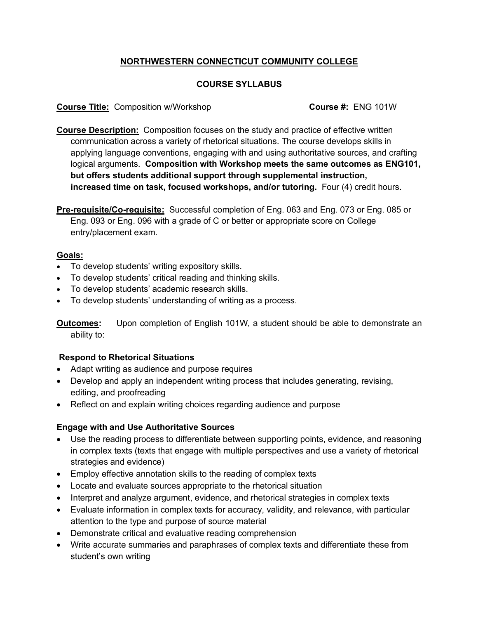# **NORTHWESTERN CONNECTICUT COMMUNITY COLLEGE**

## **COURSE SYLLABUS**

#### **Course Title:** Composition w/Workshop **Course #:** ENG 101W

**Course Description:** Composition focuses on the study and practice of effective written communication across a variety of rhetorical situations. The course develops skills in applying language conventions, engaging with and using authoritative sources, and crafting logical arguments. **Composition with Workshop meets the same outcomes as ENG101, but offers students additional support through supplemental instruction, increased time on task, focused workshops, and/or tutoring.** Four (4) credit hours.

**Pre-requisite/Co-requisite:** Successful completion of Eng. 063 and Eng. 073 or Eng. 085 or Eng. 093 or Eng. 096 with a grade of C or better or appropriate score on College entry/placement exam.

### **Goals:**

- To develop students' writing expository skills.
- To develop students' critical reading and thinking skills.
- To develop students' academic research skills.
- To develop students' understanding of writing as a process.

**Outcomes:** Upon completion of English 101W, a student should be able to demonstrate an ability to:

## **Respond to Rhetorical Situations**

- Adapt writing as audience and purpose requires
- Develop and apply an independent writing process that includes generating, revising, editing, and proofreading
- Reflect on and explain writing choices regarding audience and purpose

#### **Engage with and Use Authoritative Sources**

- Use the reading process to differentiate between supporting points, evidence, and reasoning in complex texts (texts that engage with multiple perspectives and use a variety of rhetorical strategies and evidence)
- Employ effective annotation skills to the reading of complex texts
- Locate and evaluate sources appropriate to the rhetorical situation
- Interpret and analyze argument, evidence, and rhetorical strategies in complex texts
- Evaluate information in complex texts for accuracy, validity, and relevance, with particular attention to the type and purpose of source material
- Demonstrate critical and evaluative reading comprehension
- Write accurate summaries and paraphrases of complex texts and differentiate these from student's own writing